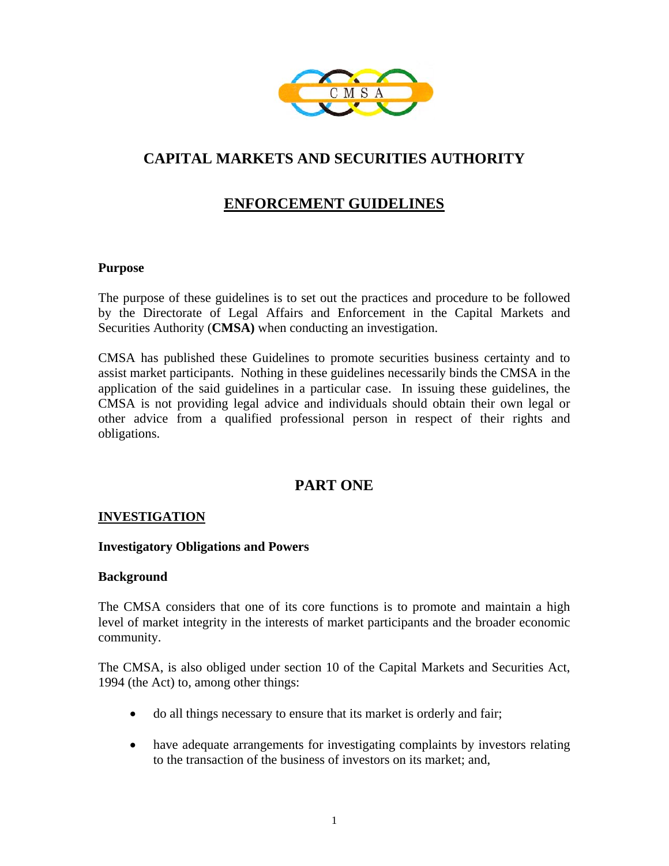

# **CAPITAL MARKETS AND SECURITIES AUTHORITY**

## **ENFORCEMENT GUIDELINES**

## **Purpose**

The purpose of these guidelines is to set out the practices and procedure to be followed by the Directorate of Legal Affairs and Enforcement in the Capital Markets and Securities Authority (**CMSA)** when conducting an investigation.

CMSA has published these Guidelines to promote securities business certainty and to assist market participants. Nothing in these guidelines necessarily binds the CMSA in the application of the said guidelines in a particular case. In issuing these guidelines, the CMSA is not providing legal advice and individuals should obtain their own legal or other advice from a qualified professional person in respect of their rights and obligations.

## **PART ONE**

## **INVESTIGATION**

## **Investigatory Obligations and Powers**

#### **Background**

The CMSA considers that one of its core functions is to promote and maintain a high level of market integrity in the interests of market participants and the broader economic community.

The CMSA, is also obliged under section 10 of the Capital Markets and Securities Act, 1994 (the Act) to, among other things:

- do all things necessary to ensure that its market is orderly and fair;
- have adequate arrangements for investigating complaints by investors relating to the transaction of the business of investors on its market; and,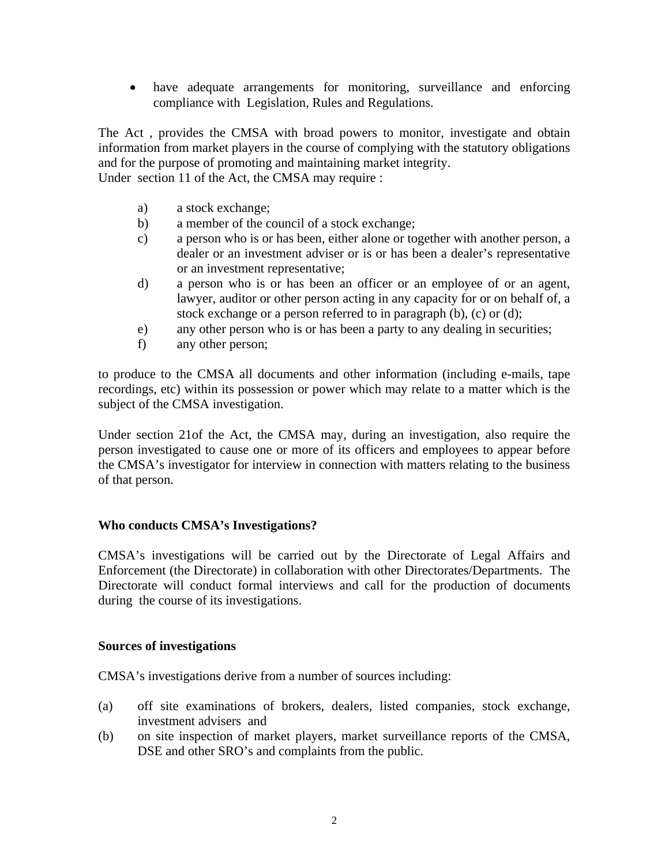• have adequate arrangements for monitoring, surveillance and enforcing compliance with Legislation, Rules and Regulations.

The Act , provides the CMSA with broad powers to monitor, investigate and obtain information from market players in the course of complying with the statutory obligations and for the purpose of promoting and maintaining market integrity.

Under section 11 of the Act, the CMSA may require :

- a) a stock exchange;
- b) a member of the council of a stock exchange;
- c) a person who is or has been, either alone or together with another person, a dealer or an investment adviser or is or has been a dealer's representative or an investment representative;
- d) a person who is or has been an officer or an employee of or an agent, lawyer, auditor or other person acting in any capacity for or on behalf of, a stock exchange or a person referred to in paragraph (b), (c) or (d);
- e) any other person who is or has been a party to any dealing in securities;
- f) any other person;

to produce to the CMSA all documents and other information (including e-mails, tape recordings, etc) within its possession or power which may relate to a matter which is the subject of the CMSA investigation.

Under section 21of the Act, the CMSA may, during an investigation, also require the person investigated to cause one or more of its officers and employees to appear before the CMSA's investigator for interview in connection with matters relating to the business of that person.

## **Who conducts CMSA's Investigations?**

CMSA's investigations will be carried out by the Directorate of Legal Affairs and Enforcement (the Directorate) in collaboration with other Directorates/Departments. The Directorate will conduct formal interviews and call for the production of documents during the course of its investigations.

## **Sources of investigations**

CMSA's investigations derive from a number of sources including:

- (a) off site examinations of brokers, dealers, listed companies, stock exchange, investment advisers and
- (b) on site inspection of market players, market surveillance reports of the CMSA, DSE and other SRO's and complaints from the public.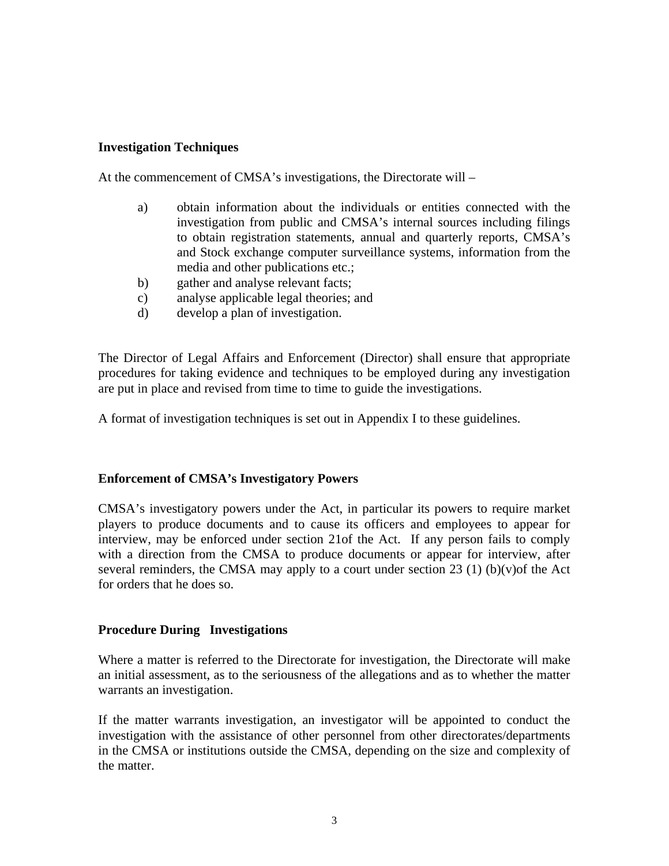## **Investigation Techniques**

At the commencement of CMSA's investigations, the Directorate will –

- a) obtain information about the individuals or entities connected with the investigation from public and CMSA's internal sources including filings to obtain registration statements, annual and quarterly reports, CMSA's and Stock exchange computer surveillance systems, information from the media and other publications etc.;
- b) gather and analyse relevant facts;
- c) analyse applicable legal theories; and
- d) develop a plan of investigation.

The Director of Legal Affairs and Enforcement (Director) shall ensure that appropriate procedures for taking evidence and techniques to be employed during any investigation are put in place and revised from time to time to guide the investigations.

A format of investigation techniques is set out in Appendix I to these guidelines.

## **Enforcement of CMSA's Investigatory Powers**

CMSA's investigatory powers under the Act, in particular its powers to require market players to produce documents and to cause its officers and employees to appear for interview, may be enforced under section 21of the Act. If any person fails to comply with a direction from the CMSA to produce documents or appear for interview, after several reminders, the CMSA may apply to a court under section 23 (1) (b)(v) of the Act for orders that he does so.

## **Procedure During Investigations**

Where a matter is referred to the Directorate for investigation, the Directorate will make an initial assessment, as to the seriousness of the allegations and as to whether the matter warrants an investigation.

If the matter warrants investigation, an investigator will be appointed to conduct the investigation with the assistance of other personnel from other directorates/departments in the CMSA or institutions outside the CMSA, depending on the size and complexity of the matter.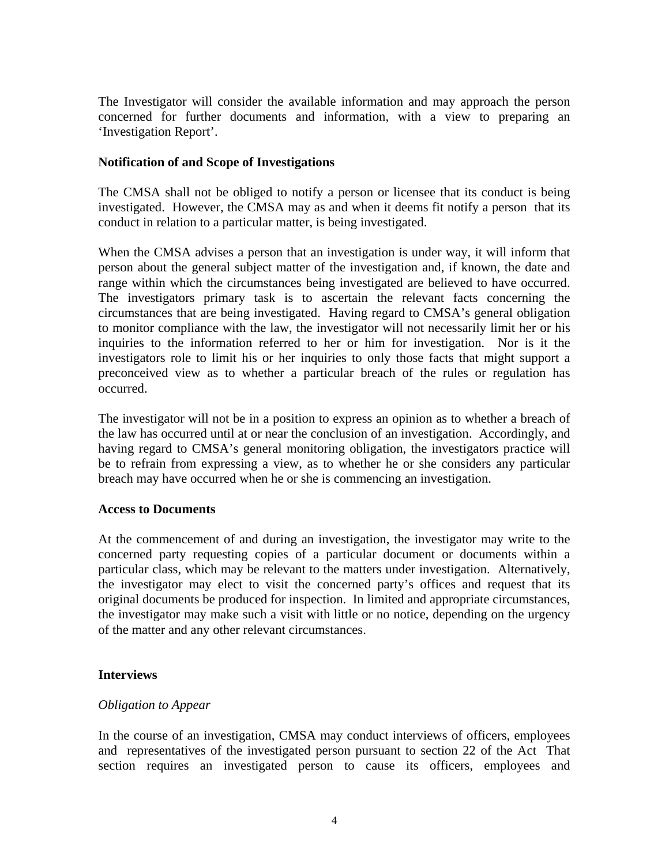The Investigator will consider the available information and may approach the person concerned for further documents and information, with a view to preparing an 'Investigation Report'.

## **Notification of and Scope of Investigations**

The CMSA shall not be obliged to notify a person or licensee that its conduct is being investigated. However, the CMSA may as and when it deems fit notify a person that its conduct in relation to a particular matter, is being investigated.

When the CMSA advises a person that an investigation is under way, it will inform that person about the general subject matter of the investigation and, if known, the date and range within which the circumstances being investigated are believed to have occurred. The investigators primary task is to ascertain the relevant facts concerning the circumstances that are being investigated. Having regard to CMSA's general obligation to monitor compliance with the law, the investigator will not necessarily limit her or his inquiries to the information referred to her or him for investigation. Nor is it the investigators role to limit his or her inquiries to only those facts that might support a preconceived view as to whether a particular breach of the rules or regulation has occurred.

The investigator will not be in a position to express an opinion as to whether a breach of the law has occurred until at or near the conclusion of an investigation. Accordingly, and having regard to CMSA's general monitoring obligation, the investigators practice will be to refrain from expressing a view, as to whether he or she considers any particular breach may have occurred when he or she is commencing an investigation.

## **Access to Documents**

At the commencement of and during an investigation, the investigator may write to the concerned party requesting copies of a particular document or documents within a particular class, which may be relevant to the matters under investigation. Alternatively, the investigator may elect to visit the concerned party's offices and request that its original documents be produced for inspection. In limited and appropriate circumstances, the investigator may make such a visit with little or no notice, depending on the urgency of the matter and any other relevant circumstances.

## **Interviews**

## *Obligation to Appear*

In the course of an investigation, CMSA may conduct interviews of officers, employees and representatives of the investigated person pursuant to section 22 of the Act That section requires an investigated person to cause its officers, employees and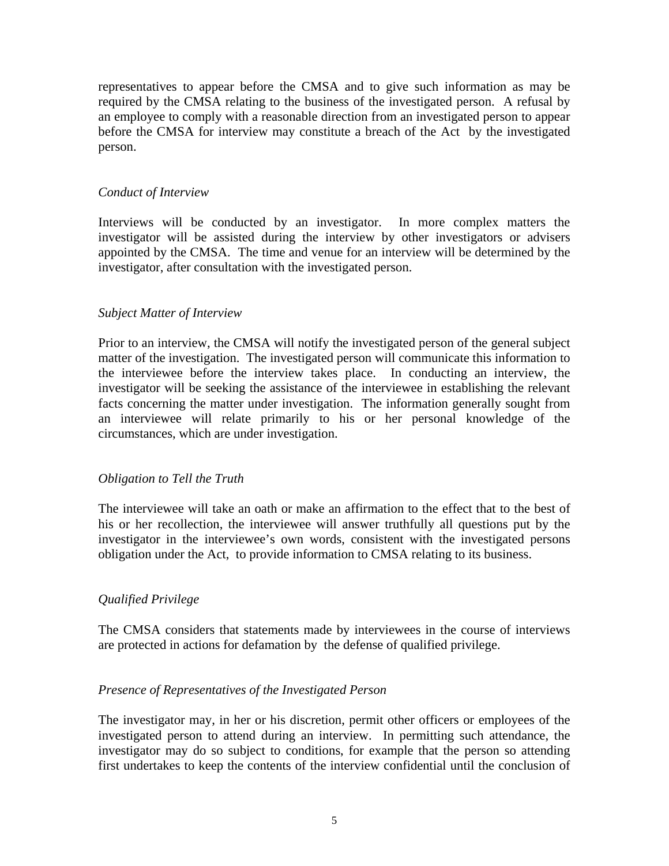representatives to appear before the CMSA and to give such information as may be required by the CMSA relating to the business of the investigated person. A refusal by an employee to comply with a reasonable direction from an investigated person to appear before the CMSA for interview may constitute a breach of the Act by the investigated person.

## *Conduct of Interview*

Interviews will be conducted by an investigator. In more complex matters the investigator will be assisted during the interview by other investigators or advisers appointed by the CMSA. The time and venue for an interview will be determined by the investigator, after consultation with the investigated person.

#### *Subject Matter of Interview*

Prior to an interview, the CMSA will notify the investigated person of the general subject matter of the investigation. The investigated person will communicate this information to the interviewee before the interview takes place. In conducting an interview, the investigator will be seeking the assistance of the interviewee in establishing the relevant facts concerning the matter under investigation. The information generally sought from an interviewee will relate primarily to his or her personal knowledge of the circumstances, which are under investigation.

#### *Obligation to Tell the Truth*

The interviewee will take an oath or make an affirmation to the effect that to the best of his or her recollection, the interviewee will answer truthfully all questions put by the investigator in the interviewee's own words, consistent with the investigated persons obligation under the Act, to provide information to CMSA relating to its business.

## *Qualified Privilege*

The CMSA considers that statements made by interviewees in the course of interviews are protected in actions for defamation by the defense of qualified privilege.

#### *Presence of Representatives of the Investigated Person*

The investigator may, in her or his discretion, permit other officers or employees of the investigated person to attend during an interview. In permitting such attendance, the investigator may do so subject to conditions, for example that the person so attending first undertakes to keep the contents of the interview confidential until the conclusion of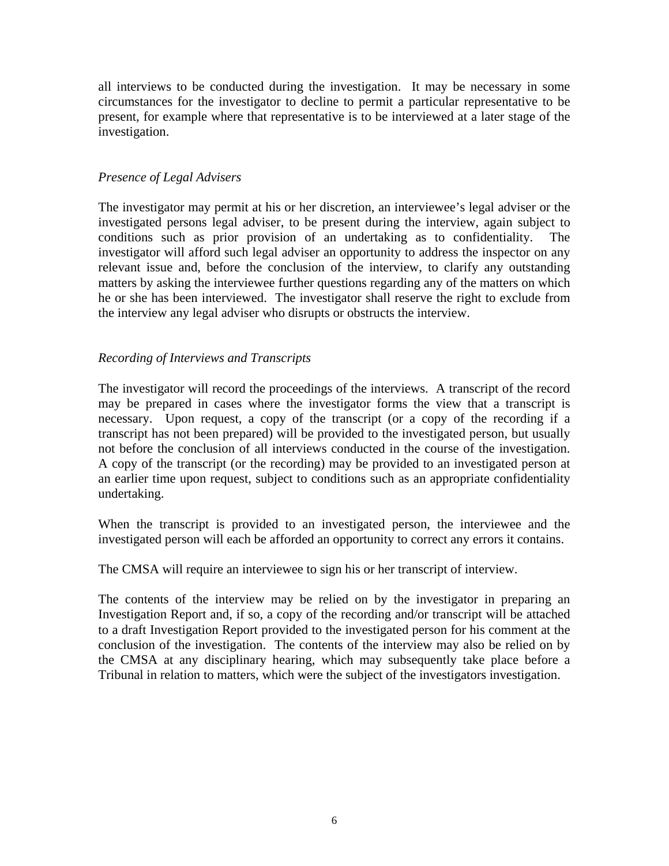all interviews to be conducted during the investigation. It may be necessary in some circumstances for the investigator to decline to permit a particular representative to be present, for example where that representative is to be interviewed at a later stage of the investigation.

## *Presence of Legal Advisers*

The investigator may permit at his or her discretion, an interviewee's legal adviser or the investigated persons legal adviser, to be present during the interview, again subject to conditions such as prior provision of an undertaking as to confidentiality. The investigator will afford such legal adviser an opportunity to address the inspector on any relevant issue and, before the conclusion of the interview, to clarify any outstanding matters by asking the interviewee further questions regarding any of the matters on which he or she has been interviewed. The investigator shall reserve the right to exclude from the interview any legal adviser who disrupts or obstructs the interview.

## *Recording of Interviews and Transcripts*

The investigator will record the proceedings of the interviews. A transcript of the record may be prepared in cases where the investigator forms the view that a transcript is necessary. Upon request, a copy of the transcript (or a copy of the recording if a transcript has not been prepared) will be provided to the investigated person, but usually not before the conclusion of all interviews conducted in the course of the investigation. A copy of the transcript (or the recording) may be provided to an investigated person at an earlier time upon request, subject to conditions such as an appropriate confidentiality undertaking.

When the transcript is provided to an investigated person, the interviewee and the investigated person will each be afforded an opportunity to correct any errors it contains.

The CMSA will require an interviewee to sign his or her transcript of interview.

The contents of the interview may be relied on by the investigator in preparing an Investigation Report and, if so, a copy of the recording and/or transcript will be attached to a draft Investigation Report provided to the investigated person for his comment at the conclusion of the investigation. The contents of the interview may also be relied on by the CMSA at any disciplinary hearing, which may subsequently take place before a Tribunal in relation to matters, which were the subject of the investigators investigation.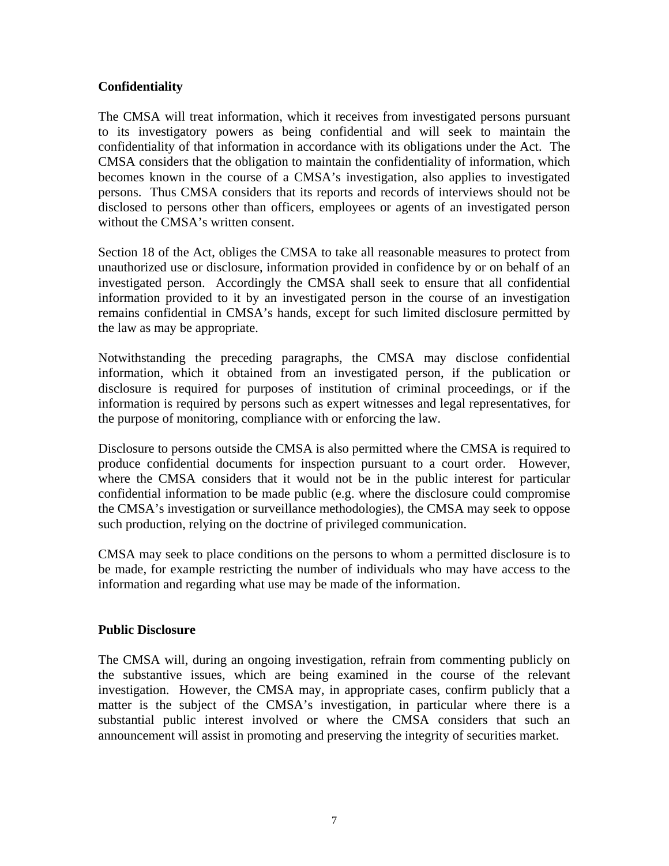## **Confidentiality**

The CMSA will treat information, which it receives from investigated persons pursuant to its investigatory powers as being confidential and will seek to maintain the confidentiality of that information in accordance with its obligations under the Act. The CMSA considers that the obligation to maintain the confidentiality of information, which becomes known in the course of a CMSA's investigation, also applies to investigated persons. Thus CMSA considers that its reports and records of interviews should not be disclosed to persons other than officers, employees or agents of an investigated person without the CMSA's written consent.

Section 18 of the Act, obliges the CMSA to take all reasonable measures to protect from unauthorized use or disclosure, information provided in confidence by or on behalf of an investigated person. Accordingly the CMSA shall seek to ensure that all confidential information provided to it by an investigated person in the course of an investigation remains confidential in CMSA's hands, except for such limited disclosure permitted by the law as may be appropriate.

Notwithstanding the preceding paragraphs, the CMSA may disclose confidential information, which it obtained from an investigated person, if the publication or disclosure is required for purposes of institution of criminal proceedings, or if the information is required by persons such as expert witnesses and legal representatives, for the purpose of monitoring, compliance with or enforcing the law.

Disclosure to persons outside the CMSA is also permitted where the CMSA is required to produce confidential documents for inspection pursuant to a court order. However, where the CMSA considers that it would not be in the public interest for particular confidential information to be made public (e.g. where the disclosure could compromise the CMSA's investigation or surveillance methodologies), the CMSA may seek to oppose such production, relying on the doctrine of privileged communication.

CMSA may seek to place conditions on the persons to whom a permitted disclosure is to be made, for example restricting the number of individuals who may have access to the information and regarding what use may be made of the information.

## **Public Disclosure**

The CMSA will, during an ongoing investigation, refrain from commenting publicly on the substantive issues, which are being examined in the course of the relevant investigation. However, the CMSA may, in appropriate cases, confirm publicly that a matter is the subject of the CMSA's investigation, in particular where there is a substantial public interest involved or where the CMSA considers that such an announcement will assist in promoting and preserving the integrity of securities market.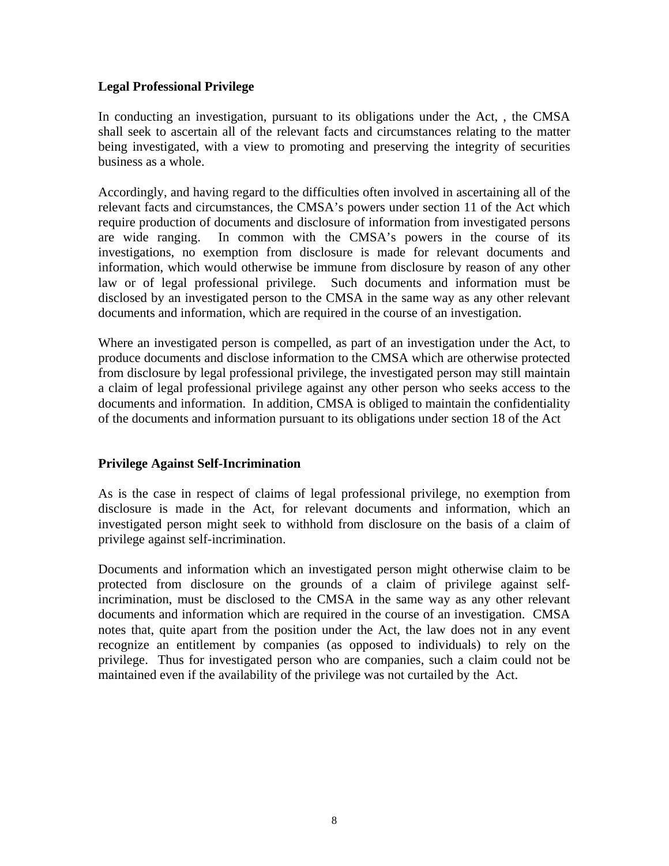## **Legal Professional Privilege**

In conducting an investigation, pursuant to its obligations under the Act, , the CMSA shall seek to ascertain all of the relevant facts and circumstances relating to the matter being investigated, with a view to promoting and preserving the integrity of securities business as a whole.

Accordingly, and having regard to the difficulties often involved in ascertaining all of the relevant facts and circumstances, the CMSA's powers under section 11 of the Act which require production of documents and disclosure of information from investigated persons are wide ranging. In common with the CMSA's powers in the course of its investigations, no exemption from disclosure is made for relevant documents and information, which would otherwise be immune from disclosure by reason of any other law or of legal professional privilege. Such documents and information must be disclosed by an investigated person to the CMSA in the same way as any other relevant documents and information, which are required in the course of an investigation.

Where an investigated person is compelled, as part of an investigation under the Act, to produce documents and disclose information to the CMSA which are otherwise protected from disclosure by legal professional privilege, the investigated person may still maintain a claim of legal professional privilege against any other person who seeks access to the documents and information. In addition, CMSA is obliged to maintain the confidentiality of the documents and information pursuant to its obligations under section 18 of the Act

## **Privilege Against Self-Incrimination**

As is the case in respect of claims of legal professional privilege, no exemption from disclosure is made in the Act, for relevant documents and information, which an investigated person might seek to withhold from disclosure on the basis of a claim of privilege against self-incrimination.

Documents and information which an investigated person might otherwise claim to be protected from disclosure on the grounds of a claim of privilege against selfincrimination, must be disclosed to the CMSA in the same way as any other relevant documents and information which are required in the course of an investigation. CMSA notes that, quite apart from the position under the Act, the law does not in any event recognize an entitlement by companies (as opposed to individuals) to rely on the privilege. Thus for investigated person who are companies, such a claim could not be maintained even if the availability of the privilege was not curtailed by the Act.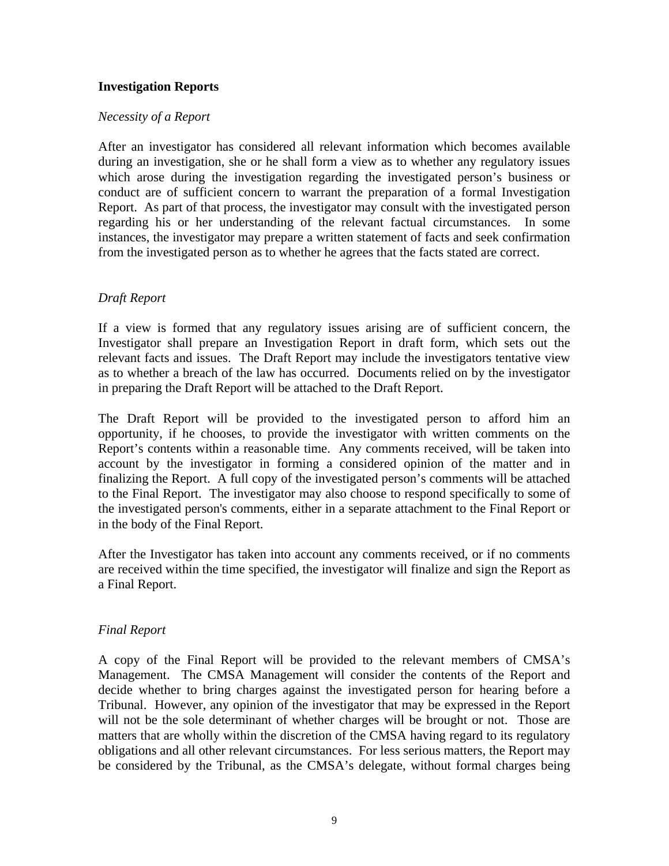## **Investigation Reports**

#### *Necessity of a Report*

After an investigator has considered all relevant information which becomes available during an investigation, she or he shall form a view as to whether any regulatory issues which arose during the investigation regarding the investigated person's business or conduct are of sufficient concern to warrant the preparation of a formal Investigation Report. As part of that process, the investigator may consult with the investigated person regarding his or her understanding of the relevant factual circumstances. In some instances, the investigator may prepare a written statement of facts and seek confirmation from the investigated person as to whether he agrees that the facts stated are correct.

## *Draft Report*

If a view is formed that any regulatory issues arising are of sufficient concern, the Investigator shall prepare an Investigation Report in draft form, which sets out the relevant facts and issues. The Draft Report may include the investigators tentative view as to whether a breach of the law has occurred. Documents relied on by the investigator in preparing the Draft Report will be attached to the Draft Report.

The Draft Report will be provided to the investigated person to afford him an opportunity, if he chooses, to provide the investigator with written comments on the Report's contents within a reasonable time. Any comments received, will be taken into account by the investigator in forming a considered opinion of the matter and in finalizing the Report. A full copy of the investigated person's comments will be attached to the Final Report. The investigator may also choose to respond specifically to some of the investigated person's comments, either in a separate attachment to the Final Report or in the body of the Final Report.

After the Investigator has taken into account any comments received, or if no comments are received within the time specified, the investigator will finalize and sign the Report as a Final Report.

## *Final Report*

A copy of the Final Report will be provided to the relevant members of CMSA's Management. The CMSA Management will consider the contents of the Report and decide whether to bring charges against the investigated person for hearing before a Tribunal. However, any opinion of the investigator that may be expressed in the Report will not be the sole determinant of whether charges will be brought or not. Those are matters that are wholly within the discretion of the CMSA having regard to its regulatory obligations and all other relevant circumstances. For less serious matters, the Report may be considered by the Tribunal, as the CMSA's delegate, without formal charges being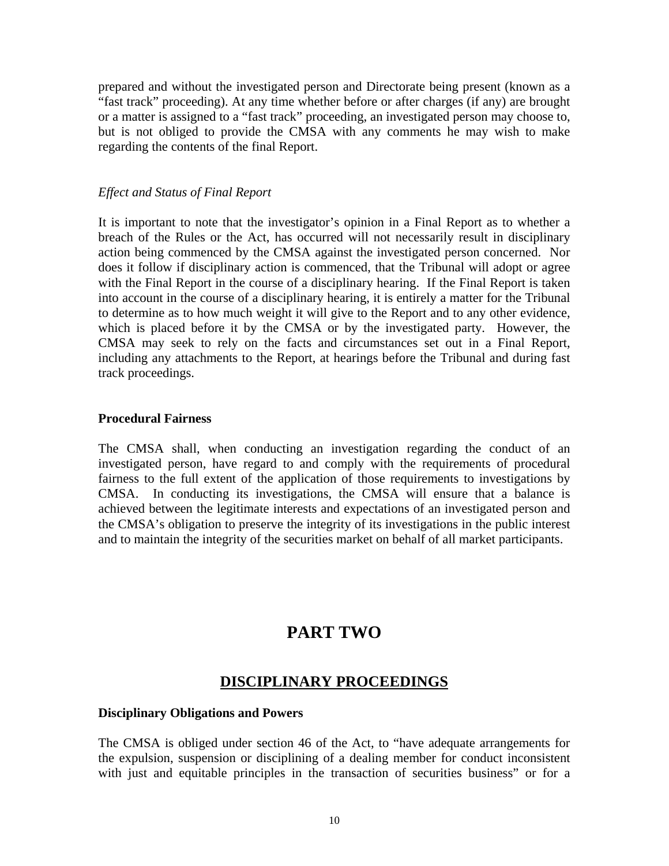prepared and without the investigated person and Directorate being present (known as a "fast track" proceeding). At any time whether before or after charges (if any) are brought or a matter is assigned to a "fast track" proceeding, an investigated person may choose to, but is not obliged to provide the CMSA with any comments he may wish to make regarding the contents of the final Report.

#### *Effect and Status of Final Report*

It is important to note that the investigator's opinion in a Final Report as to whether a breach of the Rules or the Act, has occurred will not necessarily result in disciplinary action being commenced by the CMSA against the investigated person concerned. Nor does it follow if disciplinary action is commenced, that the Tribunal will adopt or agree with the Final Report in the course of a disciplinary hearing. If the Final Report is taken into account in the course of a disciplinary hearing, it is entirely a matter for the Tribunal to determine as to how much weight it will give to the Report and to any other evidence, which is placed before it by the CMSA or by the investigated party. However, the CMSA may seek to rely on the facts and circumstances set out in a Final Report, including any attachments to the Report, at hearings before the Tribunal and during fast track proceedings.

#### **Procedural Fairness**

The CMSA shall, when conducting an investigation regarding the conduct of an investigated person, have regard to and comply with the requirements of procedural fairness to the full extent of the application of those requirements to investigations by CMSA. In conducting its investigations, the CMSA will ensure that a balance is achieved between the legitimate interests and expectations of an investigated person and the CMSA's obligation to preserve the integrity of its investigations in the public interest and to maintain the integrity of the securities market on behalf of all market participants.

# **PART TWO**

## **DISCIPLINARY PROCEEDINGS**

#### **Disciplinary Obligations and Powers**

The CMSA is obliged under section 46 of the Act, to "have adequate arrangements for the expulsion, suspension or disciplining of a dealing member for conduct inconsistent with just and equitable principles in the transaction of securities business" or for a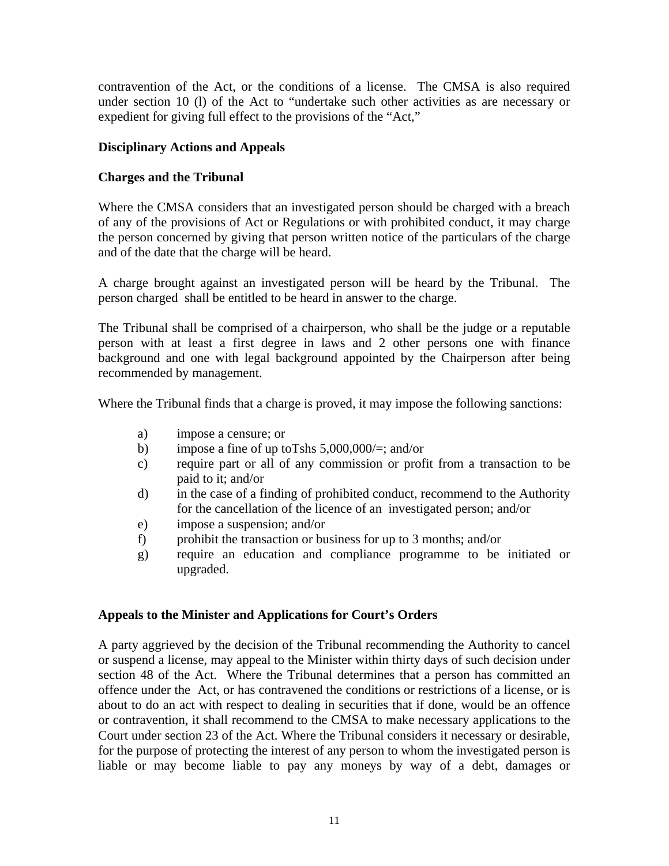contravention of the Act, or the conditions of a license. The CMSA is also required under section 10 (l) of the Act to "undertake such other activities as are necessary or expedient for giving full effect to the provisions of the "Act,"

## **Disciplinary Actions and Appeals**

## **Charges and the Tribunal**

Where the CMSA considers that an investigated person should be charged with a breach of any of the provisions of Act or Regulations or with prohibited conduct, it may charge the person concerned by giving that person written notice of the particulars of the charge and of the date that the charge will be heard.

A charge brought against an investigated person will be heard by the Tribunal. The person charged shall be entitled to be heard in answer to the charge.

The Tribunal shall be comprised of a chairperson, who shall be the judge or a reputable person with at least a first degree in laws and 2 other persons one with finance background and one with legal background appointed by the Chairperson after being recommended by management.

Where the Tribunal finds that a charge is proved, it may impose the following sanctions:

- a) impose a censure; or
- b) impose a fine of up to Tshs  $5,000,000/=:$  and/or
- c) require part or all of any commission or profit from a transaction to be paid to it; and/or
- d) in the case of a finding of prohibited conduct, recommend to the Authority for the cancellation of the licence of an investigated person; and/or
- e) impose a suspension; and/or
- f) prohibit the transaction or business for up to 3 months; and/or
- g) require an education and compliance programme to be initiated or upgraded.

## **Appeals to the Minister and Applications for Court's Orders**

A party aggrieved by the decision of the Tribunal recommending the Authority to cancel or suspend a license, may appeal to the Minister within thirty days of such decision under section 48 of the Act. Where the Tribunal determines that a person has committed an offence under the Act, or has contravened the conditions or restrictions of a license, or is about to do an act with respect to dealing in securities that if done, would be an offence or contravention, it shall recommend to the CMSA to make necessary applications to the Court under section 23 of the Act. Where the Tribunal considers it necessary or desirable, for the purpose of protecting the interest of any person to whom the investigated person is liable or may become liable to pay any moneys by way of a debt, damages or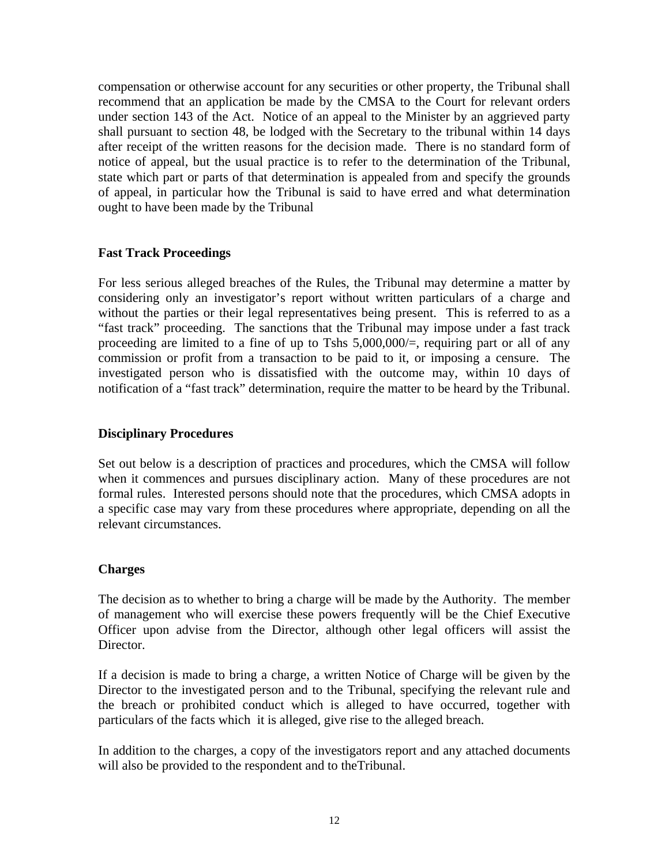compensation or otherwise account for any securities or other property, the Tribunal shall recommend that an application be made by the CMSA to the Court for relevant orders under section 143 of the Act. Notice of an appeal to the Minister by an aggrieved party shall pursuant to section 48, be lodged with the Secretary to the tribunal within 14 days after receipt of the written reasons for the decision made. There is no standard form of notice of appeal, but the usual practice is to refer to the determination of the Tribunal, state which part or parts of that determination is appealed from and specify the grounds of appeal, in particular how the Tribunal is said to have erred and what determination ought to have been made by the Tribunal

## **Fast Track Proceedings**

For less serious alleged breaches of the Rules, the Tribunal may determine a matter by considering only an investigator's report without written particulars of a charge and without the parties or their legal representatives being present. This is referred to as a "fast track" proceeding. The sanctions that the Tribunal may impose under a fast track proceeding are limited to a fine of up to Tshs 5,000,000/=, requiring part or all of any commission or profit from a transaction to be paid to it, or imposing a censure. The investigated person who is dissatisfied with the outcome may, within 10 days of notification of a "fast track" determination, require the matter to be heard by the Tribunal.

## **Disciplinary Procedures**

Set out below is a description of practices and procedures, which the CMSA will follow when it commences and pursues disciplinary action. Many of these procedures are not formal rules. Interested persons should note that the procedures, which CMSA adopts in a specific case may vary from these procedures where appropriate, depending on all the relevant circumstances.

## **Charges**

The decision as to whether to bring a charge will be made by the Authority. The member of management who will exercise these powers frequently will be the Chief Executive Officer upon advise from the Director, although other legal officers will assist the Director.

If a decision is made to bring a charge, a written Notice of Charge will be given by the Director to the investigated person and to the Tribunal, specifying the relevant rule and the breach or prohibited conduct which is alleged to have occurred, together with particulars of the facts which it is alleged, give rise to the alleged breach.

In addition to the charges, a copy of the investigators report and any attached documents will also be provided to the respondent and to theTribunal.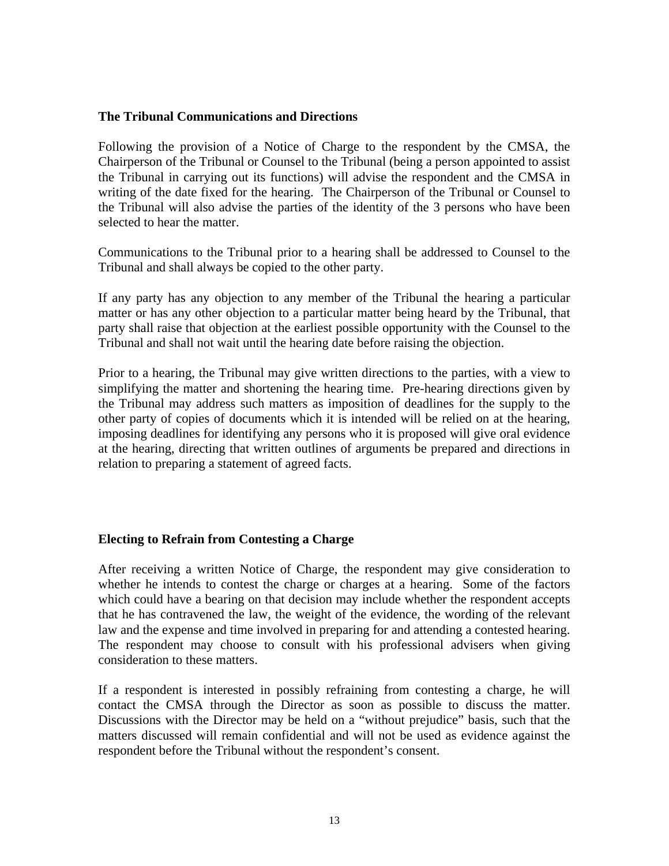#### **The Tribunal Communications and Directions**

Following the provision of a Notice of Charge to the respondent by the CMSA, the Chairperson of the Tribunal or Counsel to the Tribunal (being a person appointed to assist the Tribunal in carrying out its functions) will advise the respondent and the CMSA in writing of the date fixed for the hearing. The Chairperson of the Tribunal or Counsel to the Tribunal will also advise the parties of the identity of the 3 persons who have been selected to hear the matter.

Communications to the Tribunal prior to a hearing shall be addressed to Counsel to the Tribunal and shall always be copied to the other party.

If any party has any objection to any member of the Tribunal the hearing a particular matter or has any other objection to a particular matter being heard by the Tribunal, that party shall raise that objection at the earliest possible opportunity with the Counsel to the Tribunal and shall not wait until the hearing date before raising the objection.

Prior to a hearing, the Tribunal may give written directions to the parties, with a view to simplifying the matter and shortening the hearing time. Pre-hearing directions given by the Tribunal may address such matters as imposition of deadlines for the supply to the other party of copies of documents which it is intended will be relied on at the hearing, imposing deadlines for identifying any persons who it is proposed will give oral evidence at the hearing, directing that written outlines of arguments be prepared and directions in relation to preparing a statement of agreed facts.

## **Electing to Refrain from Contesting a Charge**

After receiving a written Notice of Charge, the respondent may give consideration to whether he intends to contest the charge or charges at a hearing. Some of the factors which could have a bearing on that decision may include whether the respondent accepts that he has contravened the law, the weight of the evidence, the wording of the relevant law and the expense and time involved in preparing for and attending a contested hearing. The respondent may choose to consult with his professional advisers when giving consideration to these matters.

If a respondent is interested in possibly refraining from contesting a charge, he will contact the CMSA through the Director as soon as possible to discuss the matter. Discussions with the Director may be held on a "without prejudice" basis, such that the matters discussed will remain confidential and will not be used as evidence against the respondent before the Tribunal without the respondent's consent.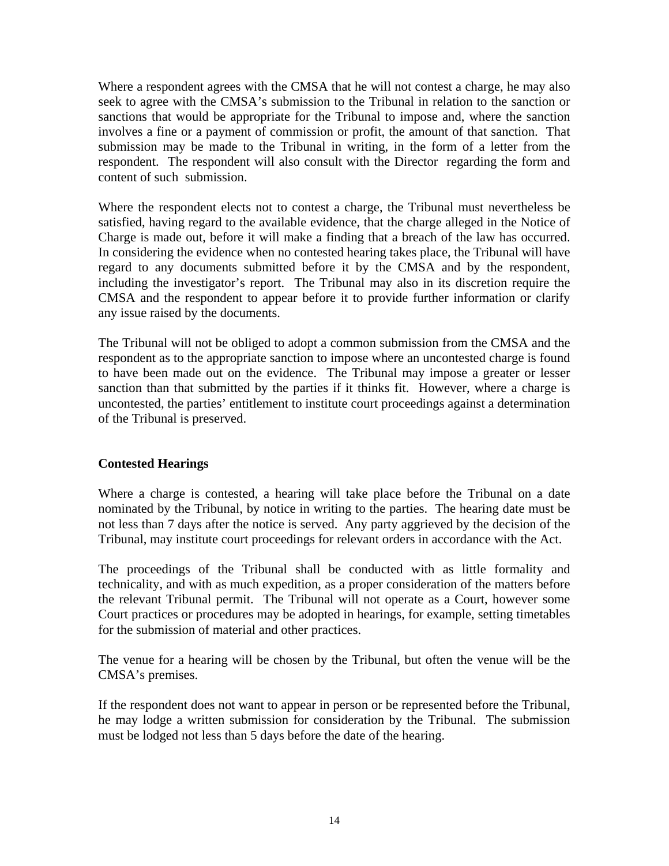Where a respondent agrees with the CMSA that he will not contest a charge, he may also seek to agree with the CMSA's submission to the Tribunal in relation to the sanction or sanctions that would be appropriate for the Tribunal to impose and, where the sanction involves a fine or a payment of commission or profit, the amount of that sanction. That submission may be made to the Tribunal in writing, in the form of a letter from the respondent. The respondent will also consult with the Director regarding the form and content of such submission.

Where the respondent elects not to contest a charge, the Tribunal must nevertheless be satisfied, having regard to the available evidence, that the charge alleged in the Notice of Charge is made out, before it will make a finding that a breach of the law has occurred. In considering the evidence when no contested hearing takes place, the Tribunal will have regard to any documents submitted before it by the CMSA and by the respondent, including the investigator's report. The Tribunal may also in its discretion require the CMSA and the respondent to appear before it to provide further information or clarify any issue raised by the documents.

The Tribunal will not be obliged to adopt a common submission from the CMSA and the respondent as to the appropriate sanction to impose where an uncontested charge is found to have been made out on the evidence. The Tribunal may impose a greater or lesser sanction than that submitted by the parties if it thinks fit. However, where a charge is uncontested, the parties' entitlement to institute court proceedings against a determination of the Tribunal is preserved.

## **Contested Hearings**

Where a charge is contested, a hearing will take place before the Tribunal on a date nominated by the Tribunal, by notice in writing to the parties. The hearing date must be not less than 7 days after the notice is served. Any party aggrieved by the decision of the Tribunal, may institute court proceedings for relevant orders in accordance with the Act.

The proceedings of the Tribunal shall be conducted with as little formality and technicality, and with as much expedition, as a proper consideration of the matters before the relevant Tribunal permit. The Tribunal will not operate as a Court, however some Court practices or procedures may be adopted in hearings, for example, setting timetables for the submission of material and other practices.

The venue for a hearing will be chosen by the Tribunal, but often the venue will be the CMSA's premises.

If the respondent does not want to appear in person or be represented before the Tribunal, he may lodge a written submission for consideration by the Tribunal. The submission must be lodged not less than 5 days before the date of the hearing.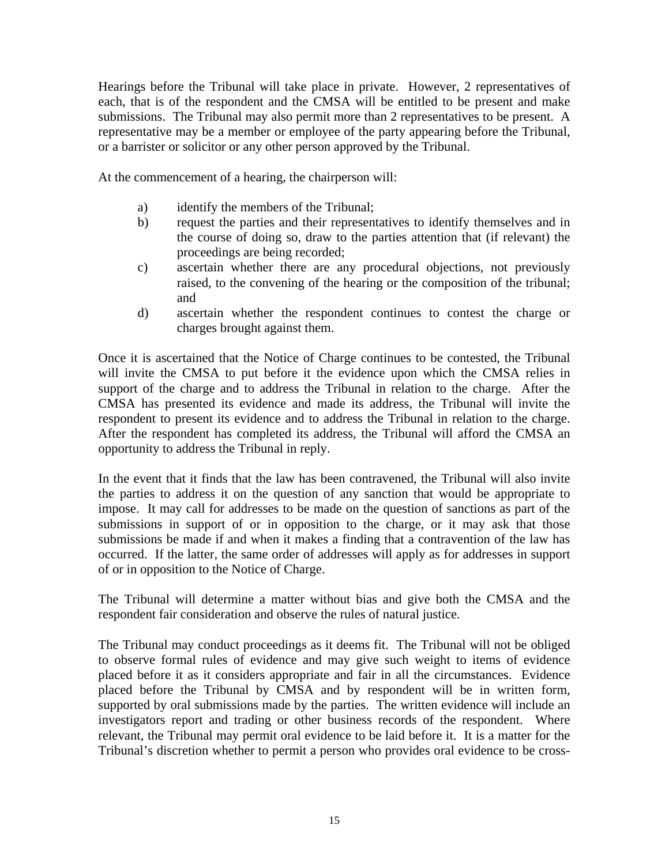Hearings before the Tribunal will take place in private. However, 2 representatives of each, that is of the respondent and the CMSA will be entitled to be present and make submissions. The Tribunal may also permit more than 2 representatives to be present. A representative may be a member or employee of the party appearing before the Tribunal, or a barrister or solicitor or any other person approved by the Tribunal.

At the commencement of a hearing, the chairperson will:

- a) identify the members of the Tribunal;
- b) request the parties and their representatives to identify themselves and in the course of doing so, draw to the parties attention that (if relevant) the proceedings are being recorded;
- c) ascertain whether there are any procedural objections, not previously raised, to the convening of the hearing or the composition of the tribunal; and
- d) ascertain whether the respondent continues to contest the charge or charges brought against them.

Once it is ascertained that the Notice of Charge continues to be contested, the Tribunal will invite the CMSA to put before it the evidence upon which the CMSA relies in support of the charge and to address the Tribunal in relation to the charge. After the CMSA has presented its evidence and made its address, the Tribunal will invite the respondent to present its evidence and to address the Tribunal in relation to the charge. After the respondent has completed its address, the Tribunal will afford the CMSA an opportunity to address the Tribunal in reply.

In the event that it finds that the law has been contravened, the Tribunal will also invite the parties to address it on the question of any sanction that would be appropriate to impose. It may call for addresses to be made on the question of sanctions as part of the submissions in support of or in opposition to the charge, or it may ask that those submissions be made if and when it makes a finding that a contravention of the law has occurred. If the latter, the same order of addresses will apply as for addresses in support of or in opposition to the Notice of Charge.

The Tribunal will determine a matter without bias and give both the CMSA and the respondent fair consideration and observe the rules of natural justice.

The Tribunal may conduct proceedings as it deems fit. The Tribunal will not be obliged to observe formal rules of evidence and may give such weight to items of evidence placed before it as it considers appropriate and fair in all the circumstances. Evidence placed before the Tribunal by CMSA and by respondent will be in written form, supported by oral submissions made by the parties. The written evidence will include an investigators report and trading or other business records of the respondent. Where relevant, the Tribunal may permit oral evidence to be laid before it. It is a matter for the Tribunal's discretion whether to permit a person who provides oral evidence to be cross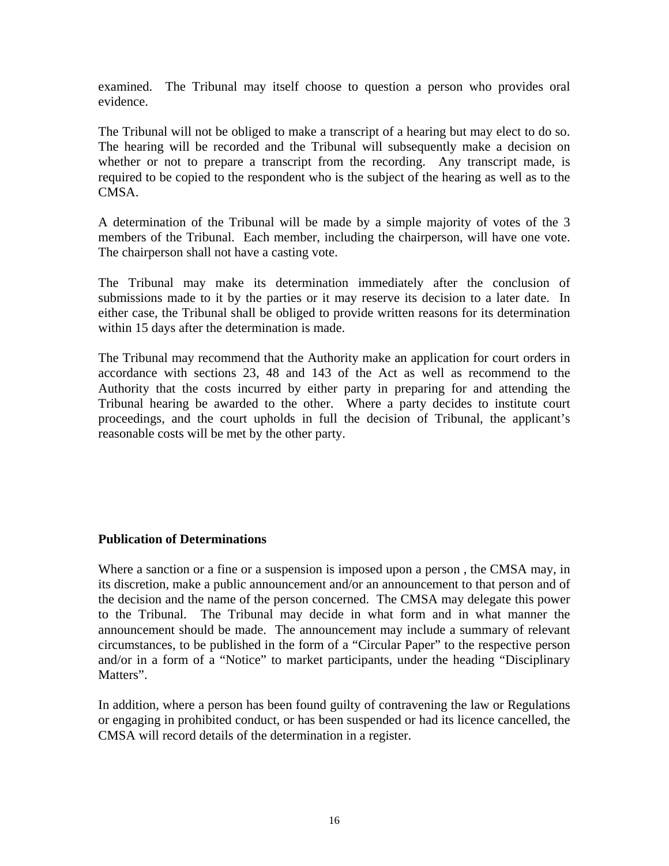examined. The Tribunal may itself choose to question a person who provides oral evidence.

The Tribunal will not be obliged to make a transcript of a hearing but may elect to do so. The hearing will be recorded and the Tribunal will subsequently make a decision on whether or not to prepare a transcript from the recording. Any transcript made, is required to be copied to the respondent who is the subject of the hearing as well as to the CMSA.

A determination of the Tribunal will be made by a simple majority of votes of the 3 members of the Tribunal. Each member, including the chairperson, will have one vote. The chairperson shall not have a casting vote.

The Tribunal may make its determination immediately after the conclusion of submissions made to it by the parties or it may reserve its decision to a later date. In either case, the Tribunal shall be obliged to provide written reasons for its determination within 15 days after the determination is made.

The Tribunal may recommend that the Authority make an application for court orders in accordance with sections 23, 48 and 143 of the Act as well as recommend to the Authority that the costs incurred by either party in preparing for and attending the Tribunal hearing be awarded to the other. Where a party decides to institute court proceedings, and the court upholds in full the decision of Tribunal, the applicant's reasonable costs will be met by the other party.

## **Publication of Determinations**

Where a sanction or a fine or a suspension is imposed upon a person , the CMSA may, in its discretion, make a public announcement and/or an announcement to that person and of the decision and the name of the person concerned. The CMSA may delegate this power to the Tribunal. The Tribunal may decide in what form and in what manner the announcement should be made. The announcement may include a summary of relevant circumstances, to be published in the form of a "Circular Paper" to the respective person and/or in a form of a "Notice" to market participants, under the heading "Disciplinary Matters".

In addition, where a person has been found guilty of contravening the law or Regulations or engaging in prohibited conduct, or has been suspended or had its licence cancelled, the CMSA will record details of the determination in a register.